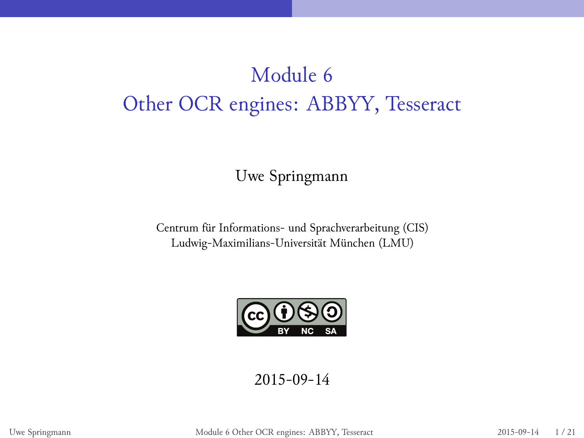Module 6 Other OCR engines: ABBYY, Tesseract

Uwe Springmann

Centrum für Informations- und Sprachverarbeitung (CIS) Ludwig-Maximilians-Universität München (LMU)



2015-09-14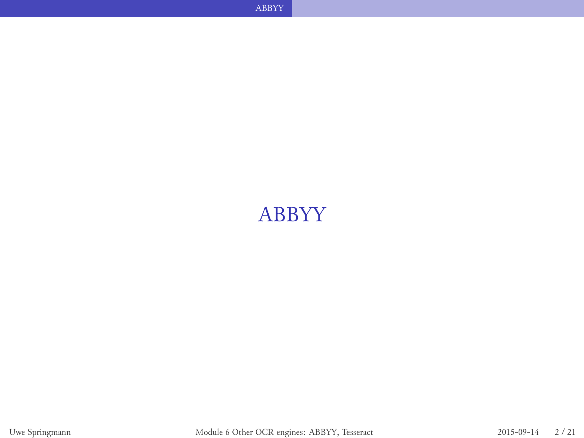## ABBYY

**ABBYY ABBYY**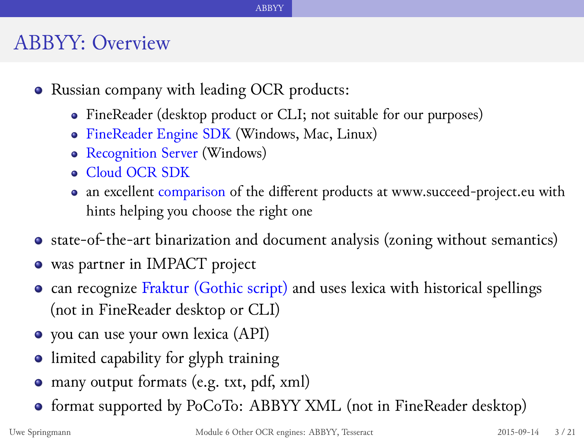#### ABBYY: Overview

- Russian company with leading OCR products:
	- FineReader (desktop product or CLI; not suitable for our purposes)

- FineReader Engine SDK (Windows, Mac, Linux)
- Recognition Server (Windows)
- Cloud OCR SDK
- an excellent comparison of the different products at www.succeed-project.eu with hints helping you choose the right one
- state-of-the-art binarization and document analysis (zoning without semantics)
- was partner in IMPACT project
- **•** can recognize Fraktur (Gothic script) and uses lexica with historical spellings (not in FineReader desktop or CLI)
- you can use your own lexica (API)
- limited capability for glyph training
- many output formats (e.g. txt, pdf, xml)
- format supported by PoCoTo: ABBYY XML (not in FineReader desktop)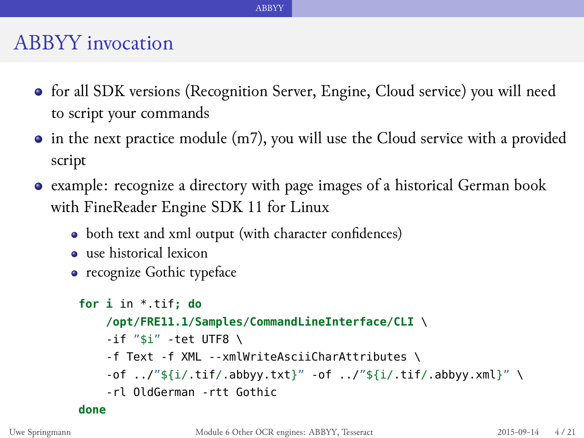#### ABBYY invocation

for all SDK versions (Recognition Server, Engine, Cloud service) you will need to script your commands

- in the next practice module (m7), you will use the Cloud service with a provided script
- example: recognize a directory with page images of a historical German book with FineReader Engine SDK 11 for Linux
	- both text and xml output (with character confidences)
	- use historical lexicon
	- recognize Gothic typeface

```
for i in *.tif; do
    /opt/FRE11.1/Samples/CommandLineInterface/CLI \
    -if "$i" -tet UTF8 \
    -f Text -f XML --xmlWriteAsciiCharAttributes \
    -of ../"${i/.tif/.abbyy.txt}" -of ../"${i/.tif/.abbyy.xml}" \
    -rl OldGerman -rtt Gothic
done
```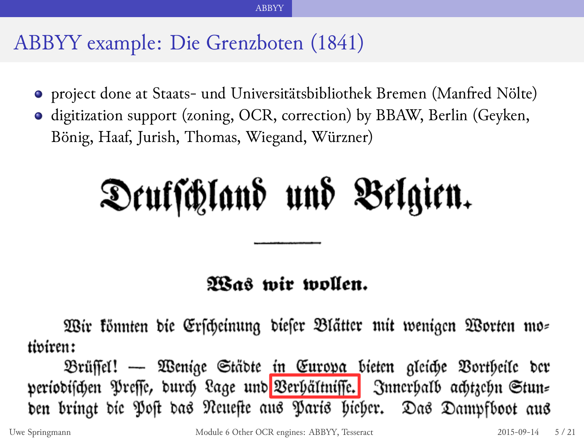#### ABBYY example: Die Grenzboten (1841)

project done at Staats- und Universitätsbibliothek Bremen (Manfred Nölte)

ABBYY

digitization support (zoning, OCR, correction) by BBAW, Berlin (Geyken, Bönig, Haaf, Jurish, Thomas, Wiegand, Würzner)

# Deutschland und Belgien.

#### Was wir wollen.

Wir könnten die Erscheinung dieser Blätter mit wenigen Worten mo tiviren:

Brüffel! — Wenige Städte in Eurova bieten gleiche Vortheile der periodischen Preffe, durch Lage und Verhältnisse. Innerhalb achtzehn Stun= den bringt die Post das Neueste aus Paris hieher. Das Dampfboot aus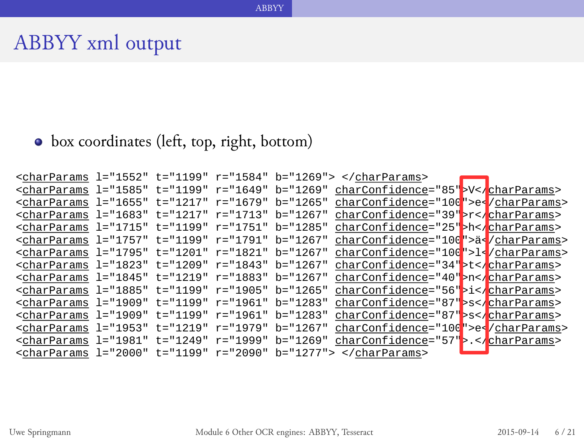• box coordinates (left, top, right, bottom)

Uwe Springmann Module 6 Other OCR engines: ABBYY, Tesseract 2015-09-14 6 / 21

<charParams l="1552" t="1199" r="1584" b="1269"> </charParams> <charParams l="1585" t="1199" r="1649" b="1269" charConfidence="85">V</charParams> <charParams l="1655" t="1217" r="1679" b="1265" charConfidence="100">e</charParams> <charParams l="1683" t="1217" r="1713" b="1267" charConfidence="39">r</charParams> <charParams l="1715" t="1199" r="1751" b="1285" charConfidence="25">h</charParams> <charParams l="1757" t="1199" r="1791" b="1267" charConfidence="100">ä</charParams> <charParams l="1795" t="1201" r="1821" b="1267" charConfidence="100">l</charParams> <charParams l="1823" t="1209" r="1843" b="1267" charConfidence="34">t</charParams> <charParams l="1845" t="1219" r="1883" b="1267" charConfidence="40">n</charParams> <charParams l="1885" t="1199" r="1905" b="1265" charConfidence="56">i</charParams> <charParams l="1909" t="1199" r="1961" b="1283" charConfidence="87">s</charParams> <charParams l="1909" t="1199" r="1961" b="1283" charConfidence="87">s</charParams> <charParams l="1953" t="1219" r="1979" b="1267" charConfidence="100">e</charParams> <charParams l="1981" t="1249" r="1999" b="1269" charConfidence="57">.</charParams> <charParams l="2000" t="1199" r="2090" b="1277"> </charParams>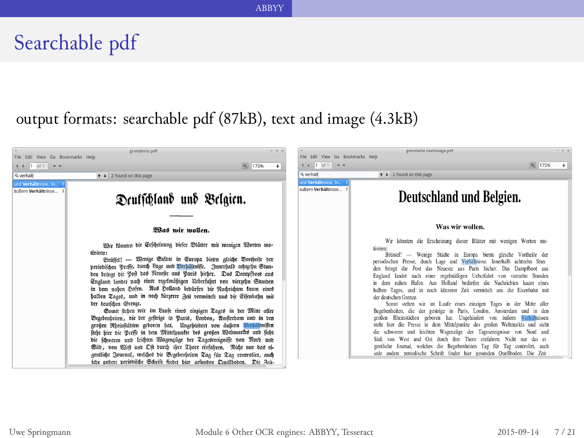# Searchable pdf

output formats: searchable pdf (87kB), text and image (4.3kB)

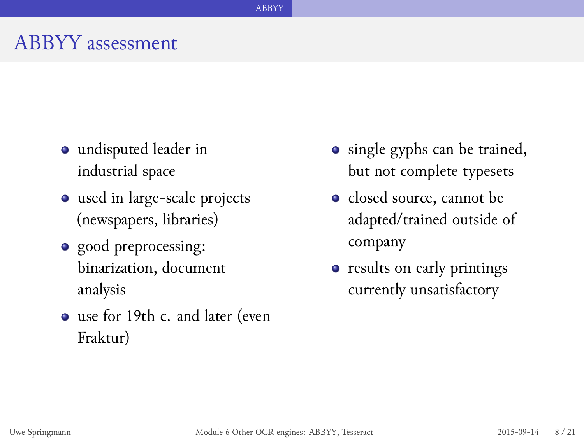#### ABBYY assessment

- undisputed leader in industrial space
- used in large-scale projects (newspapers, libraries)
- good preprocessing: binarization, document analysis
- use for 19th c. and later (even Fraktur)
- single gyphs can be trained, but not complete typesets
- · closed source, cannot be adapted/trained outside of company
- results on early printings currently unsatisfactory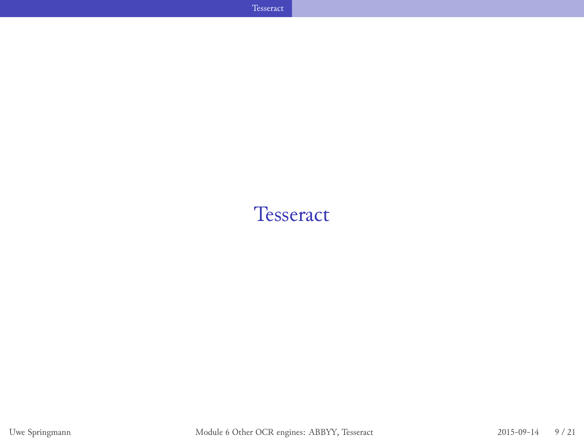#### **Tesseract**

Tesseract **Tesseract Tesseract Tesseract**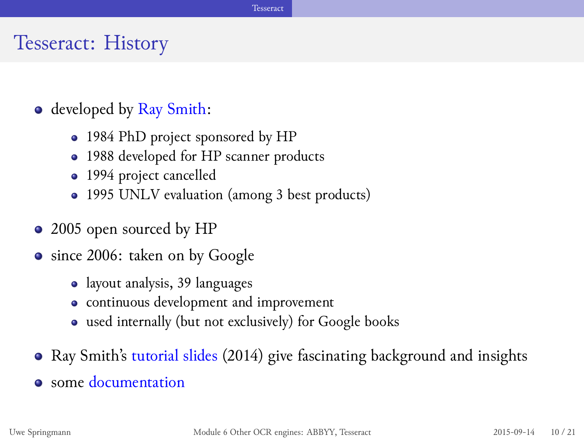#### Tesseract: History

- developed by Ray Smith:
	- 1984 PhD project sponsored by HP
	- 1988 developed for HP scanner products
	- 1994 project cancelled
	- 1995 UNLV evaluation (among 3 best products)
- 2005 open sourced by HP
- since 2006: taken on by Google
	- layout analysis, 39 languages
	- continuous development and improvement
	- used internally (but not exclusively) for Google books
- Ray Smith's tutorial slides (2014) give fascinating background and insights
- some documentation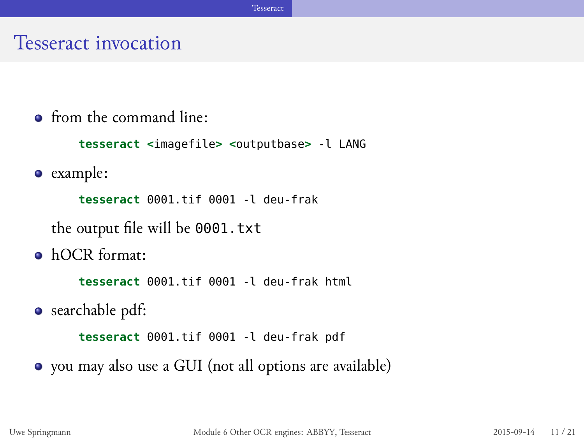#### Tesseract invocation

 $\bullet$  from the command line:

**tesseract <**imagefile**> <**outputbase**>** -l LANG

example:

**tesseract** 0001.tif 0001 -l deu-frak

the output file will be 0001.txt

hOCR format:

**tesseract** 0001.tif 0001 -l deu-frak html

searchable pdf:

**tesseract** 0001.tif 0001 -l deu-frak pdf

you may also use a GUI (not all options are available)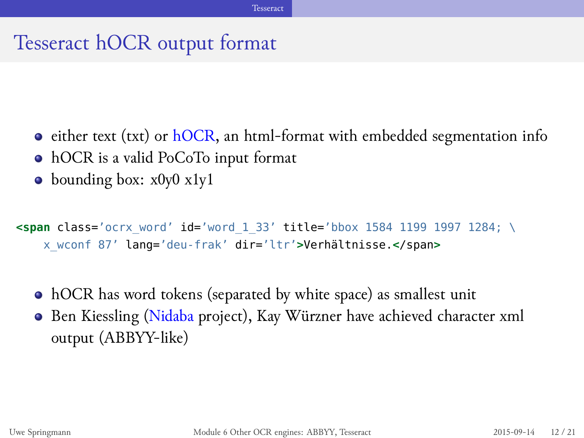## Tesseract hOCR output format

- either text (txt) or hOCR, an html-format with embedded segmentation info
- hOCR is a valid PoCoTo input format
- bounding box: x0y0 x1y1

```
<span class='ocrx_word' id='word_1_33' title='bbox 1584 1199 1997 1284; \
   x_wconf 87' lang='deu-frak' dir='ltr'>Verhältnisse.</span>
```
Tesseract

- hOCR has word tokens (separated by white space) as smallest unit
- Ben Kiessling (Nidaba project), Kay Würzner have achieved character xml output (ABBYY-like)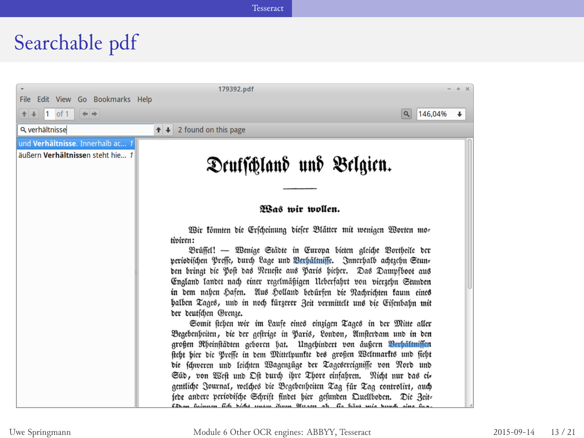# Searchable pdf

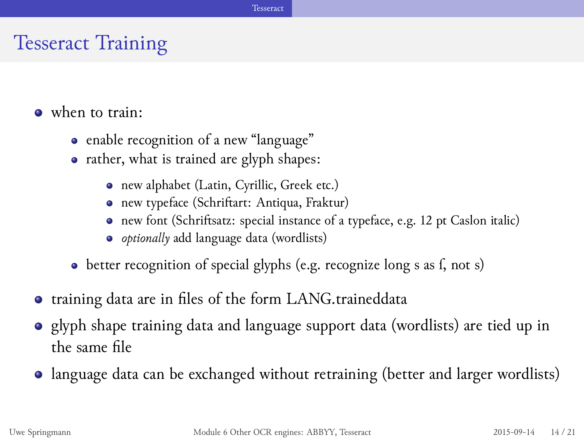## Tesseract Training

- when to train:
	- enable recognition of a new "language"
	- rather, what is trained are glyph shapes:
		- new alphabet (Latin, Cyrillic, Greek etc.)
		- new typeface (Schriftart: Antiqua, Fraktur)
		- new font (Schriftsatz: special instance of a typeface, e.g. 12 pt Caslon italic)
		- *optionally* add language data (wordlists)
	- better recognition of special glyphs (e.g. recognize long s as f, not s)
- training data are in files of the form LANG.traineddata
- glyph shape training data and language support data (wordlists) are tied up in the same file
- language data can be exchanged without retraining (better and larger wordlists)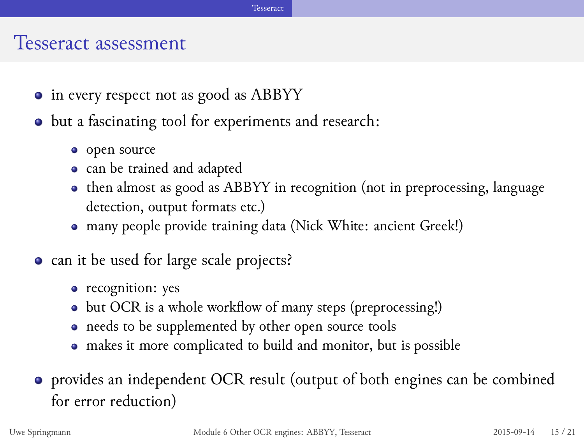#### Tesseract assessment

- $\bullet\,$  in every respect not as good as ABBYY
- $\bullet$  but a fascinating tool for experiments and research:
	- open source
	- can be trained and adapted
	- then almost as good as ABBYY in recognition (not in preprocessing, language detection, output formats etc.)
	- many people provide training data (Nick White: ancient Greek!)
- can it be used for large scale projects?
	- recognition: yes
	- but OCR is a whole workflow of many steps (preprocessing!)
	- needs to be supplemented by other open source tools
	- makes it more complicated to build and monitor, but is possible
- provides an independent OCR result (output of both engines can be combined for error reduction)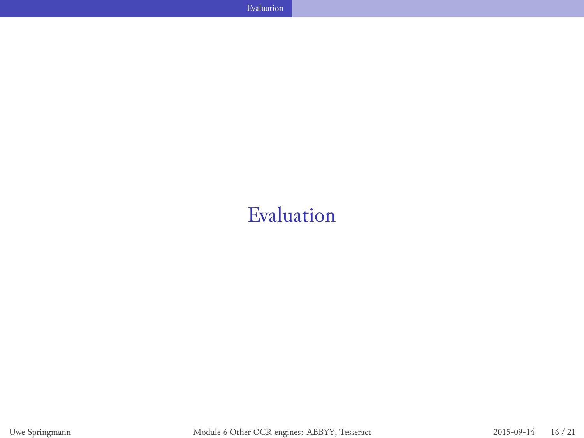# Evaluation

 $\mathbb{E}_{\mathbf{z}}$  . Evaluation the contract of the contract of the contract of the contract of the contract of the contract of the contract of the contract of the contract of the contract of the contract of the contract of t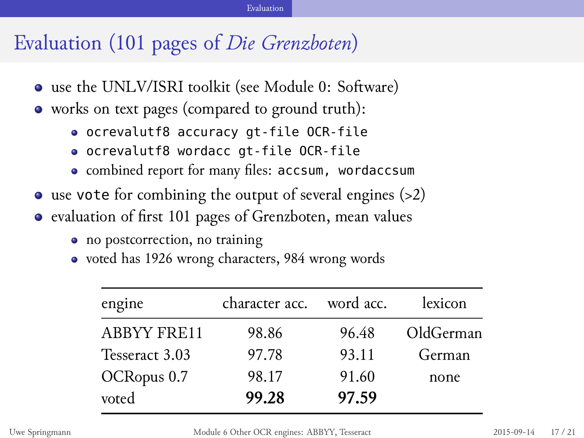# Evaluation (101 pages of *Die Grenzboten*)

- use the UNLV/ISRI toolkit (see Module 0: Software)
- $\bullet\,$  works on text pages (compared to ground truth):
	- ocrevalutf8 accuracy gt-file OCR-file
	- ocrevalutf8 wordacc gt-file OCR-file
	- combined report for many files: accsum, wordaccsum

- use vote for combining the output of several engines (>2)
- evaluation of first 101 pages of Grenzboten, mean values
	- no postcorrection, no training
	- voted has 1926 wrong characters, 984 wrong words

| engine             | character acc. word acc. |       | lexicon   |
|--------------------|--------------------------|-------|-----------|
| <b>ABBYY FRE11</b> | 98.86                    | 96.48 | OldGerman |
| Tesseract 3.03     | 97.78                    | 93.11 | German    |
| OCRopus 0.7        | 98.17                    | 91.60 | none      |
| voted              | 99.28                    | 97.59 |           |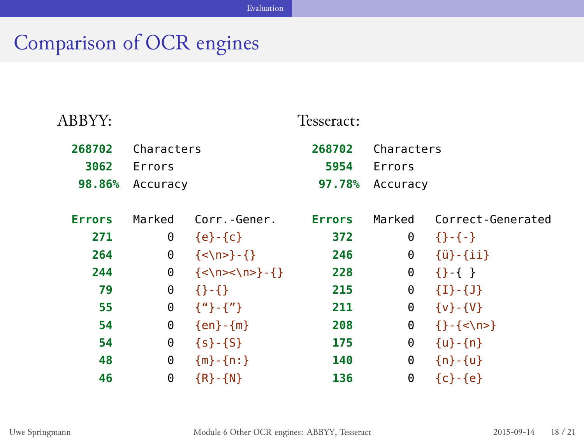# Comparison of OCR engines

| ABBYY:                   |                                  |                                                          | Tesseract:               |                                  |                                   |
|--------------------------|----------------------------------|----------------------------------------------------------|--------------------------|----------------------------------|-----------------------------------|
| 268702<br>3062<br>98.86% | Characters<br>Errors<br>Accuracy |                                                          | 268702<br>5954<br>97.78% | Characters<br>Errors<br>Accuracy |                                   |
| <b>Errors</b>            | Marked                           | Corr.-Gener.                                             | <b>Errors</b>            | Marked                           | Correct-Generated                 |
| 271                      | 0                                | $\{e\}$ - $\{c\}$                                        | 372                      | 0                                | $\{+,-\}$                         |
| 264                      | 0                                | $\{\langle n \rangle\} - \{\}$                           | 246                      | 0                                | $\{\ddot{u}\}$ - $\{\ddot{u}\}\}$ |
| 244                      | 0                                | $\{\langle \rangle \$ - $\{\rangle - \langle \rangle \}$ | 228                      | 0                                | $\{\}$ - { }                      |
| 79                       | 0                                | $\{ \}$ - $\{ \}$                                        | 215                      | 0                                | ${I}$ { $I$ } - { $I$ }           |
| 55                       | 0                                | $\{$ {"} - {"}                                           | 211                      | 0                                | $\{V\} - \{V\}$                   |
| 54                       | 0                                | ${en}$ - ${m}$                                           | 208                      | 0                                | $\{-\{\langle n\rangle\}$         |
| 54                       | 0                                | $\{s\}$ - $\{S\}$                                        | 175                      | 0                                | $\{u\}$ - $\{n\}$                 |
| 48                       | 0                                | ${m} - {n :}$                                            | 140                      | 0                                | ${n-1}$                           |
| 46                       | 0                                | ${R} - {N}$                                              | 136                      | 0                                | ${c} - {e}$                       |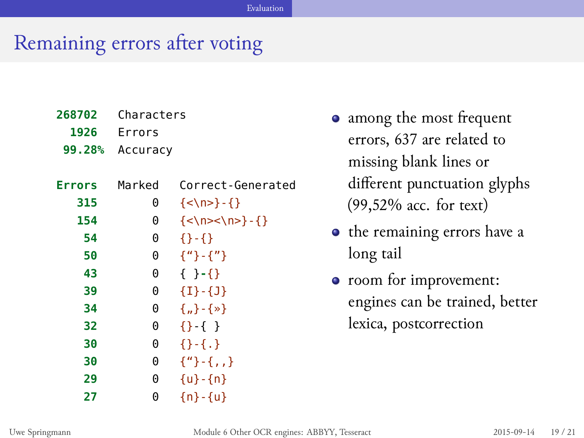# Remaining errors after voting

| 268702<br>1926 | Characters<br>Errors |                                |  |
|----------------|----------------------|--------------------------------|--|
| 99.28%         | Accuracy             |                                |  |
|                |                      |                                |  |
| <b>Errors</b>  | Marked               | Correct-Generated              |  |
| 315            | 0                    | $\{\langle n \rangle\} - \{\}$ |  |
| 154            | 0                    |                                |  |
| 54             | 0                    | $\{3-1\}$                      |  |
| 50             | 0                    | $\{$ " } - { " }               |  |
| 43             | 0                    | $\{ \}$ - $\{ \}$              |  |
| 39             | 0                    | ${I}$ + ${I}$                  |  |
| 34             | 0                    | ${, \}$ - { » }                |  |
| 32             | 0                    | $\{ \}$ - { }                  |  |
| 30             | 0                    | $\{ \}$ - { . }                |  |
| 30             | 0                    | $\{$ " $\}$ - {,,}             |  |
| 29             | 0                    | $\{u\}$ - $\{n\}$              |  |
| 27             | 0                    | ${n-1}$                        |  |

- among the most frequent errors, 637 are related to missing blank lines or different punctuation glyphs (99,52% acc. for text)
- $\bullet$  the remaining errors have a long tail
- room for improvement: engines can be trained, better lexica, postcorrection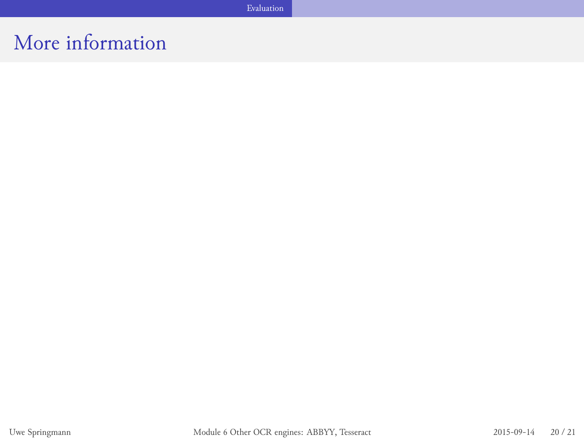More information